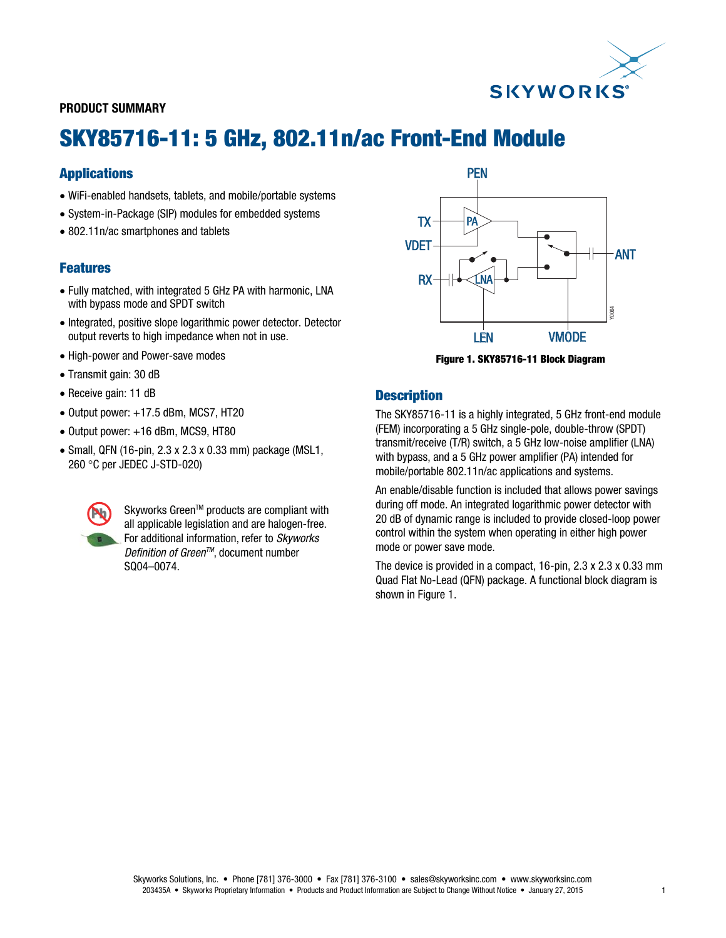

### PRODUCT SUMMARY

# SKY85716-11: 5 GHz, 802.11n/ac Front-End Module

## Applications

- WiFi-enabled handsets, tablets, and mobile/portable systems
- System-in-Package (SIP) modules for embedded systems
- 802.11n/ac smartphones and tablets

## Features

- Fully matched, with integrated 5 GHz PA with harmonic, LNA with bypass mode and SPDT switch
- Integrated, positive slope logarithmic power detector. Detector output reverts to high impedance when not in use.
- High-power and Power-save modes
- Transmit gain: 30 dB
- Receive gain: 11 dB
- $\bullet$  Output power:  $+17.5$  dBm, MCS7, HT20
- $\bullet$  Output power:  $+16$  dBm, MCS9, HT80
- Small, QFN (16-pin, 2.3 x 2.3 x 0.33 mm) package (MSL1, 260 °C per JEDEC J-STD-020)



Skyworks Green™ products are compliant with all applicable legislation and are halogen-free. For additional information, refer to *Skyworks Definition of Green<sup>™</sup>*, document number SQ04–0074.



Figure 1. SKY85716-11 Block Diagram

### **Description**

The SKY85716-11 is a highly integrated, 5 GHz front-end module (FEM) incorporating a 5 GHz single-pole, double-throw (SPDT) transmit/receive (T/R) switch, a 5 GHz low-noise amplifier (LNA) with bypass, and a 5 GHz power amplifier (PA) intended for mobile/portable 802.11n/ac applications and systems.

An enable/disable function is included that allows power savings during off mode. An integrated logarithmic power detector with 20 dB of dynamic range is included to provide closed-loop power control within the system when operating in either high power mode or power save mode.

The device is provided in a compact, 16-pin, 2.3 x 2.3 x 0.33 mm Quad Flat No-Lead (QFN) package. A functional block diagram is shown in Figure 1.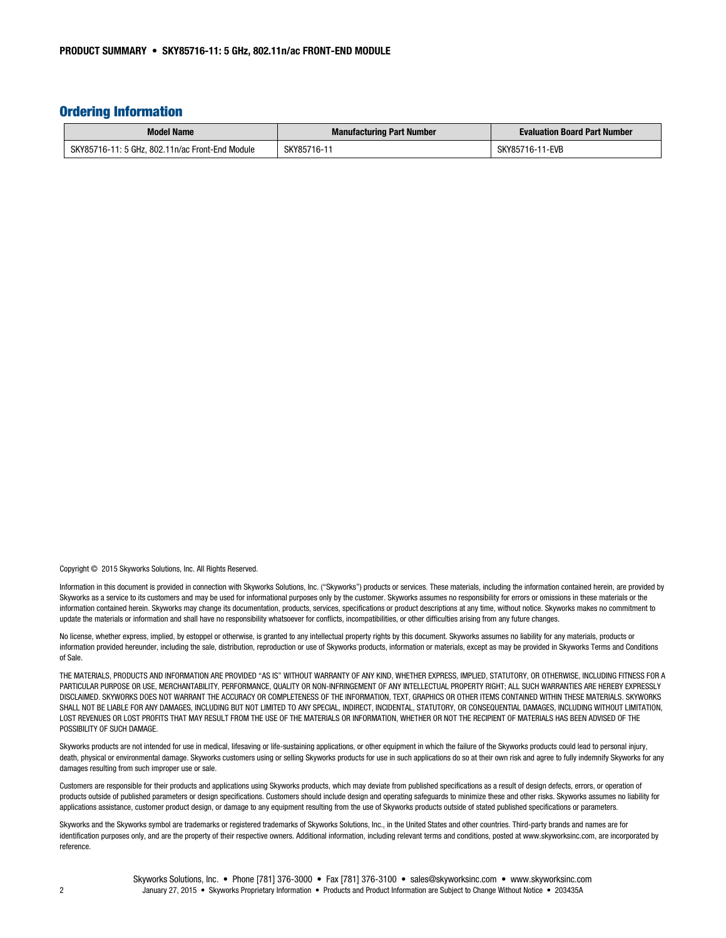### Ordering Information

| <b>Model Name</b>                               | <b>Manufacturing Part Number</b> | <b>Evaluation Board Part Number</b> |
|-------------------------------------------------|----------------------------------|-------------------------------------|
| SKY85716-11: 5 GHz. 802.11n/ac Front-End Module | SKY85716-1                       | l-EVB<br>SKY85<br>16-               |

Copyright © 2015 Skyworks Solutions, Inc. All Rights Reserved.

| Information in this document is provided in connection with Skyworks Solutions, Inc. ("Skyworks") products or services. These materials, including the information contained herein, are provided by |
|------------------------------------------------------------------------------------------------------------------------------------------------------------------------------------------------------|
| Skyworks as a service to its customers and may be used for informational purposes only by the customer. Skyworks assumes no responsibility for errors or omissions in these materials or the         |
| information contained herein. Skyworks may change its documentation, products, services, specifications or product descriptions at any time, without notice. Skyworks makes no commitment to         |
| update the materials or information and shall have no responsibility whatsoever for conflicts, incompatibilities, or other difficulties arising from any future changes.                             |

No license, whether express, implied, by estoppel or otherwise, is granted to any intellectual property rights by this document. Skyworks assumes no liability for any materials, products or information provided hereunder, including the sale, distribution, reproduction or use of Skyworks products, information or materials, except as may be provided in Skyworks Terms and Conditions of Sale.

THE MATERIALS, PRODUCTS AND INFORMATION ARE PROVIDED "AS IS" WITHOUT WARRANTY OF ANY KIND, WHETHER EXPRESS, IMPLIED, STATUTORY, OR OTHERWISE, INCLUDING FITNESS FOR A PARTICULAR PURPOSE OR USE, MERCHANTABILITY, PERFORMANCE, QUALITY OR NON-INFRINGEMENT OF ANY INTELLECTUAL PROPERTY RIGHT; ALL SUCH WARRANTIES ARE HEREBY EXPRESSLY DISCLAIMED. SKYWORKS DOES NOT WARRANT THE ACCURACY OR COMPLETENESS OF THE INFORMATION, TEXT, GRAPHICS OR OTHER ITEMS CONTAINED WITHIN THESE MATERIALS. SKYWORKS SHALL NOT BE LIABLE FOR ANY DAMAGES, INCLUDING BUT NOT LIMITED TO ANY SPECIAL, INDIRECT, INCIDENTAL, STATUTORY, OR CONSEQUENTIAL DAMAGES, INCLUDING WITHOUT LIMITATION, LOST REVENUES OR LOST PROFITS THAT MAY RESULT FROM THE USE OF THE MATERIALS OR INFORMATION, WHETHER OR NOT THE RECIPIENT OF MATERIALS HAS BEEN ADVISED OF THE POSSIBILITY OF SUCH DAMAGE.

Skyworks products are not intended for use in medical, lifesaving or life-sustaining applications, or other equipment in which the failure of the Skyworks products could lead to personal injury, death, physical or environmental damage. Skyworks customers using or selling Skyworks products for use in such applications do so at their own risk and agree to fully indemnify Skyworks for any damages resulting from such improper use or sale.

Customers are responsible for their products and applications using Skyworks products, which may deviate from published specifications as a result of design defects, errors, or operation of products outside of published parameters or design specifications. Customers should include design and operating safeguards to minimize these and other risks. Skyworks assumes no liability for applications assistance, customer product design, or damage to any equipment resulting from the use of Skyworks products outside of stated published specifications or parameters.

Skyworks and the Skyworks symbol are trademarks or registered trademarks of Skyworks Solutions, Inc., in the United States and other countries. Third-party brands and names are for identification purposes only, and are the property of their respective owners. Additional information, including relevant terms and conditions, posted at www.skyworksinc.com, are incorporated by reference.